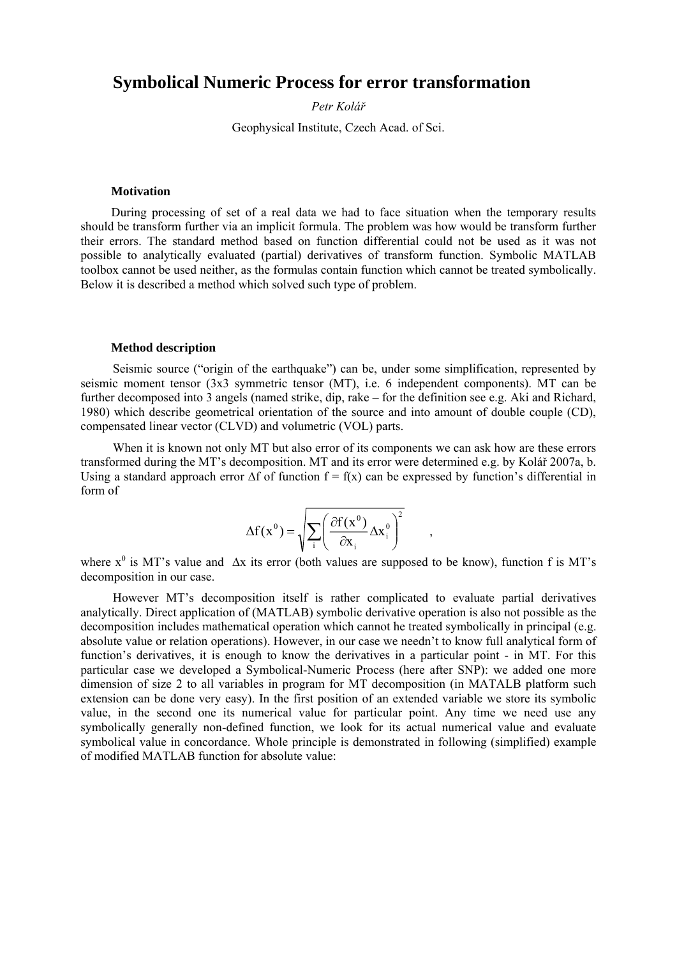# **Symbolical Numeric Process for error transformation**

*Petr Kolář*

Geophysical Institute, Czech Acad. of Sci.

## **Motivation**

During processing of set of a real data we had to face situation when the temporary results should be transform further via an implicit formula. The problem was how would be transform further their errors. The standard method based on function differential could not be used as it was not possible to analytically evaluated (partial) derivatives of transform function. Symbolic MATLAB toolbox cannot be used neither, as the formulas contain function which cannot be treated symbolically. Below it is described a method which solved such type of problem.

#### **Method description**

Seismic source ("origin of the earthquake") can be, under some simplification, represented by seismic moment tensor (3x3 symmetric tensor (MT), i.e. 6 independent components). MT can be further decomposed into 3 angels (named strike, dip, rake – for the definition see e.g. Aki and Richard, 1980) which describe geometrical orientation of the source and into amount of double couple (CD), compensated linear vector (CLVD) and volumetric (VOL) parts.

When it is known not only MT but also error of its components we can ask how are these errors transformed during the MT's decomposition. MT and its error were determined e.g. by Kolář 2007a, b. Using a standard approach error  $\Delta f$  of function  $f = f(x)$  can be expressed by function's differential in form of

$$
\Delta f(x^0) = \sqrt{\sum_{i} \left( \frac{\partial f(x^0)}{\partial x_i} \Delta x_i^0 \right)^2} \qquad ,
$$

where  $x^0$  is MT's value and  $\Delta x$  its error (both values are supposed to be know), function f is MT's decomposition in our case.

However MT's decomposition itself is rather complicated to evaluate partial derivatives analytically. Direct application of (MATLAB) symbolic derivative operation is also not possible as the decomposition includes mathematical operation which cannot he treated symbolically in principal (e.g. absolute value or relation operations). However, in our case we needn't to know full analytical form of function's derivatives, it is enough to know the derivatives in a particular point - in MT. For this particular case we developed a Symbolical-Numeric Process (here after SNP): we added one more dimension of size 2 to all variables in program for MT decomposition (in MATALB platform such extension can be done very easy). In the first position of an extended variable we store its symbolic value, in the second one its numerical value for particular point. Any time we need use any symbolically generally non-defined function, we look for its actual numerical value and evaluate symbolical value in concordance. Whole principle is demonstrated in following (simplified) example of modified MATLAB function for absolute value: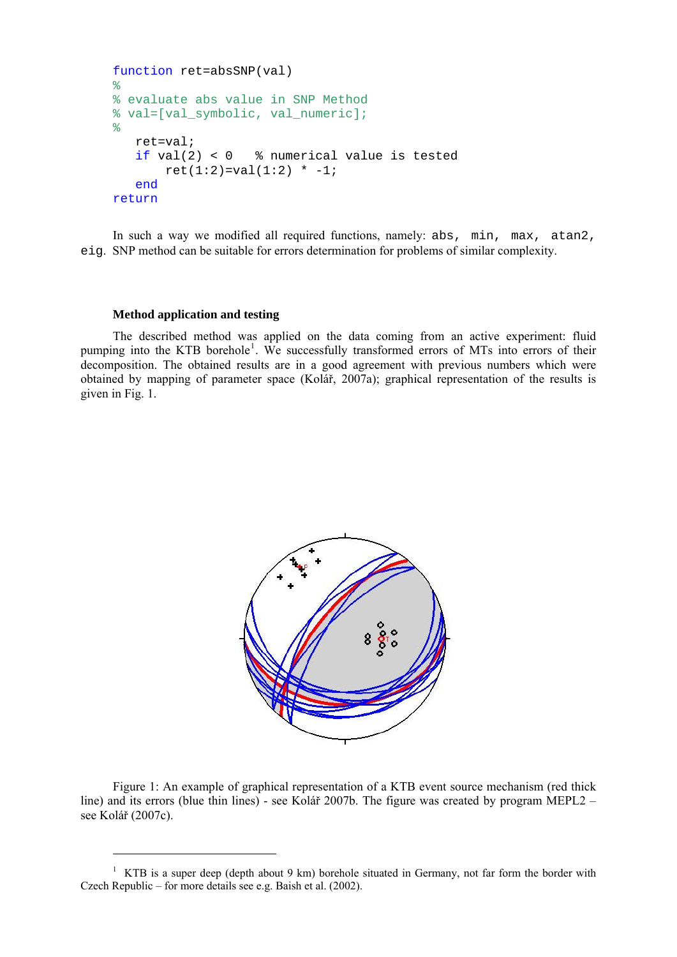```
function ret=absSNP(val) 
\geq% evaluate abs value in SNP Method 
% val=[val_symbolic, val_numeric]; 
\frac{8}{6} ret=val; 
   if val(2) < 0 % numerical value is tested
       ret(1:2) = val(1:2) * -1; end
return
```
In such a way we modified all required functions, namely: abs, min, max, atan2, eig. SNP method can be suitable for errors determination for problems of similar complexity.

## **Method application and testing**

<u>.</u>

The described method was applied on the data coming from an active experiment: fluid pumping into the KTB borehole<sup>[1](#page-1-0)</sup>. We successfully transformed errors of MTs into errors of their decomposition. The obtained results are in a good agreement with previous numbers which were obtained by mapping of parameter space (Kolář, 2007a); graphical representation of the results is given in Fig. 1.



Figure 1: An example of graphical representation of a KTB event source mechanism (red thick line) and its errors (blue thin lines) - see Kolář 2007b. The figure was created by program MEPL2 – see Kolář (2007c).

<span id="page-1-0"></span><sup>&</sup>lt;sup>1</sup> KTB is a super deep (depth about 9 km) borehole situated in Germany, not far form the border with Czech Republic – for more details see e.g. Baish et al. (2002).